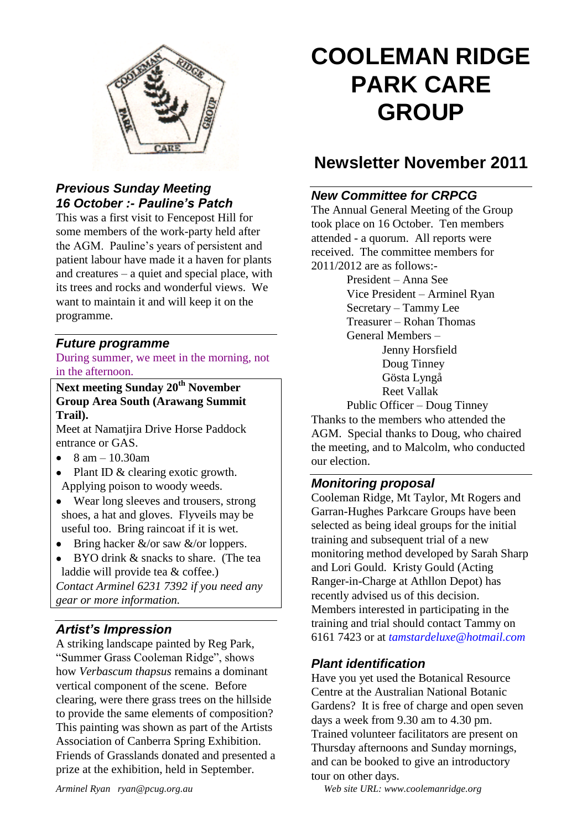

#### *Previous Sunday Meeting 16 October :- Pauline's Patch*

This was a first visit to Fencepost Hill for some members of the work-party held after the AGM. Pauline's years of persistent and patient labour have made it a haven for plants and creatures – a quiet and special place, with its trees and rocks and wonderful views. We want to maintain it and will keep it on the programme.

#### *Future programme*

During summer, we meet in the morning, not in the afternoon.

**Next meeting Sunday 20th November Group Area South (Arawang Summit Trail).**

Meet at Namatjira Drive Horse Paddock entrance or GAS.

- $\bullet$ 8 am – 10.30am
- Plant ID & clearing exotic growth. Applying poison to woody weeds.
- Wear long sleeves and trousers, strong shoes, a hat and gloves. Flyveils may be useful too. Bring raincoat if it is wet.
- Bring hacker  $&\&\lor$  or saw  $&\lor$  or loppers.
- BYO drink & snacks to share. (The tea laddie will provide tea & coffee.) *Contact Arminel 6231 7392 if you need any*

*gear or more information.*

#### *Artist's Impression*

A striking landscape painted by Reg Park, "Summer Grass Cooleman Ridge", shows how *Verbascum thapsus* remains a dominant vertical component of the scene. Before clearing, were there grass trees on the hillside to provide the same elements of composition? This painting was shown as part of the Artists Association of Canberra Spring Exhibition. Friends of Grasslands donated and presented a prize at the exhibition, held in September.

# **COOLEMAN RIDGE PARK CARE GROUP**

## **Newsletter November 2011**

#### *New Committee for CRPCG*

The Annual General Meeting of the Group took place on 16 October. Ten members attended - a quorum. All reports were received. The committee members for 2011/2012 are as follows:-

President – Anna See Vice President – Arminel Ryan Secretary – Tammy Lee Treasurer – Rohan Thomas General Members – Jenny Horsfield Doug Tinney Gösta Lyngå Reet Vallak Public Officer – Doug Tinney Thanks to the members who attended the

AGM. Special thanks to Doug, who chaired the meeting, and to Malcolm, who conducted our election.

#### *Monitoring proposal*

Cooleman Ridge, Mt Taylor, Mt Rogers and Garran-Hughes Parkcare Groups have been selected as being ideal groups for the initial training and subsequent trial of a new monitoring method developed by Sarah Sharp and Lori Gould. Kristy Gould (Acting Ranger-in-Charge at Athllon Depot) has recently advised us of this decision. Members interested in participating in the training and trial should contact Tammy on 6161 7423 or at *tamstardeluxe@hotmail.com*

#### *Plant identification*

Have you yet used the Botanical Resource Centre at the Australian National Botanic Gardens? It is free of charge and open seven days a week from 9.30 am to 4.30 pm. Trained volunteer facilitators are present on Thursday afternoons and Sunday mornings, and can be booked to give an introductory tour on other days.

*Arminel Ryan ryan@pcug.org.au Web site URL: www.coolemanridge.org*